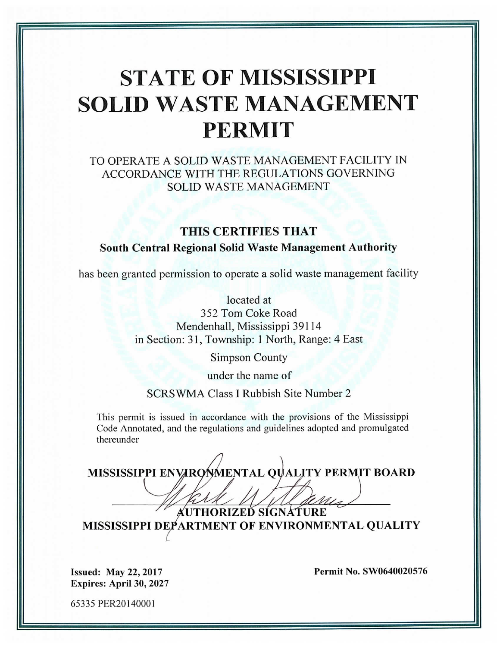# **STATE OF MISSISSIPPI SOLID WASTE MANAGEMENT PERMIT**

TO OPERATE A SOLID WASTE MANAGEMENT FACILITY IN ACCORDANCE WITH THE REGULATIONS GOVERNING **SOLID WASTE MANAGEMENT** 

## THIS CERTIFIES THAT

### South Central Regional Solid Waste Management Authority

has been granted permission to operate a solid waste management facility

located at 352 Tom Coke Road Mendenhall, Mississippi 39114 in Section: 31, Township: 1 North, Range: 4 East

**Simpson County** 

under the name of

SCRSWMA Class I Rubbish Site Number 2

This permit is issued in accordance with the provisions of the Mississippi Code Annotated, and the regulations and guidelines adopted and promulgated thereunder

MISSISSIPPI ENVARONMENTAL OUALITY PERMIT BOARD

**AUTHORIZEĎ SÍGNÁTURE** MISSISSIPPI DEPARTMENT OF ENVIRONMENTAL QUALITY

**Issued: May 22, 2017** Expires: April 30, 2027 Permit No. SW0640020576

65335 PER20140001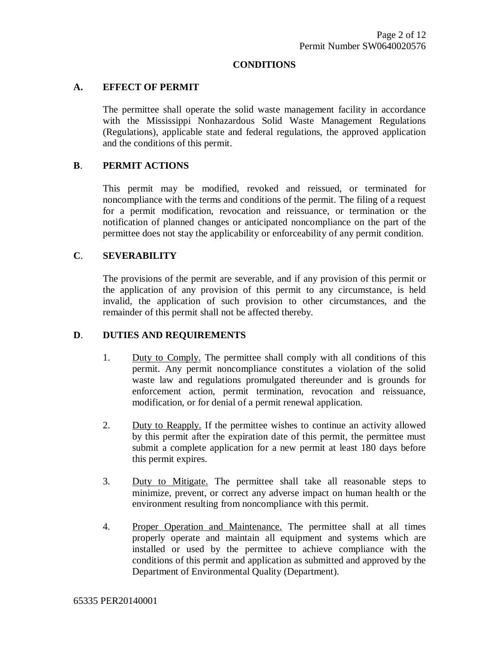#### **CONDITIONS**

#### **A. EFFECT OF PERMIT**

The permittee shall operate the solid waste management facility in accordance with the Mississippi Nonhazardous Solid Waste Management Regulations (Regulations), applicable state and federal regulations, the approved application and the conditions of this permit.

#### **B**. **PERMIT ACTIONS**

This permit may be modified, revoked and reissued, or terminated for noncompliance with the terms and conditions of the permit. The filing of a request for a permit modification, revocation and reissuance, or termination or the notification of planned changes or anticipated noncompliance on the part of the permittee does not stay the applicability or enforceability of any permit condition.

#### **C**. **SEVERABILITY**

The provisions of the permit are severable, and if any provision of this permit or the application of any provision of this permit to any circumstance, is held invalid, the application of such provision to other circumstances, and the remainder of this permit shall not be affected thereby.

#### **D**. **DUTIES AND REQUIREMENTS**

- 1. Duty to Comply. The permittee shall comply with all conditions of this permit. Any permit noncompliance constitutes a violation of the solid waste law and regulations promulgated thereunder and is grounds for enforcement action, permit termination, revocation and reissuance, modification, or for denial of a permit renewal application.
- 2. Duty to Reapply. If the permittee wishes to continue an activity allowed by this permit after the expiration date of this permit, the permittee must submit a complete application for a new permit at least 180 days before this permit expires.
- 3. Duty to Mitigate. The permittee shall take all reasonable steps to minimize, prevent, or correct any adverse impact on human health or the environment resulting from noncompliance with this permit.
- 4. Proper Operation and Maintenance. The permittee shall at all times properly operate and maintain all equipment and systems which are installed or used by the permittee to achieve compliance with the conditions of this permit and application as submitted and approved by the Department of Environmental Quality (Department).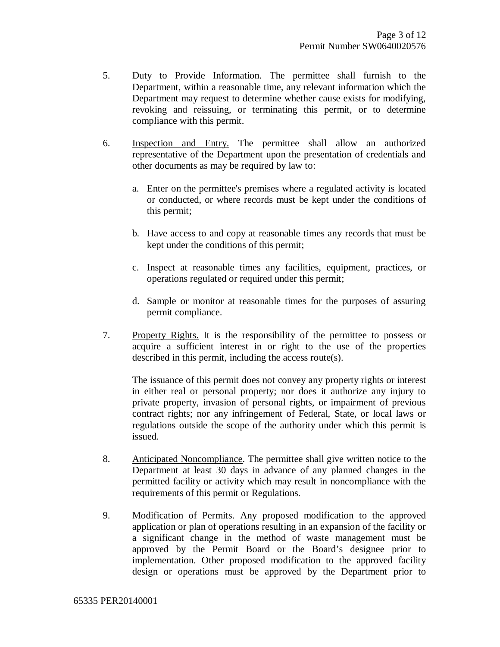- 5. Duty to Provide Information. The permittee shall furnish to the Department, within a reasonable time, any relevant information which the Department may request to determine whether cause exists for modifying, revoking and reissuing, or terminating this permit, or to determine compliance with this permit.
- 6. Inspection and Entry. The permittee shall allow an authorized representative of the Department upon the presentation of credentials and other documents as may be required by law to:
	- a. Enter on the permittee's premises where a regulated activity is located or conducted, or where records must be kept under the conditions of this permit;
	- b. Have access to and copy at reasonable times any records that must be kept under the conditions of this permit;
	- c. Inspect at reasonable times any facilities, equipment, practices, or operations regulated or required under this permit;
	- d. Sample or monitor at reasonable times for the purposes of assuring permit compliance.
- 7. Property Rights. It is the responsibility of the permittee to possess or acquire a sufficient interest in or right to the use of the properties described in this permit, including the access route(s).

The issuance of this permit does not convey any property rights or interest in either real or personal property; nor does it authorize any injury to private property, invasion of personal rights, or impairment of previous contract rights; nor any infringement of Federal, State, or local laws or regulations outside the scope of the authority under which this permit is issued.

- 8. Anticipated Noncompliance. The permittee shall give written notice to the Department at least 30 days in advance of any planned changes in the permitted facility or activity which may result in noncompliance with the requirements of this permit or Regulations.
- 9. Modification of Permits. Any proposed modification to the approved application or plan of operations resulting in an expansion of the facility or a significant change in the method of waste management must be approved by the Permit Board or the Board's designee prior to implementation. Other proposed modification to the approved facility design or operations must be approved by the Department prior to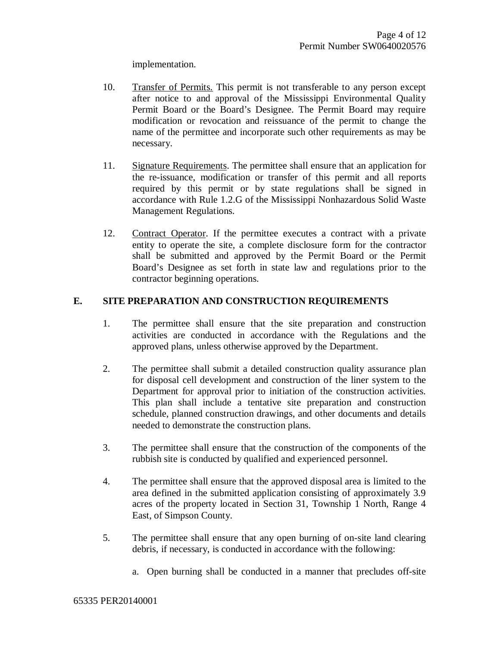implementation.

- 10. Transfer of Permits. This permit is not transferable to any person except after notice to and approval of the Mississippi Environmental Quality Permit Board or the Board's Designee. The Permit Board may require modification or revocation and reissuance of the permit to change the name of the permittee and incorporate such other requirements as may be necessary.
- 11. Signature Requirements. The permittee shall ensure that an application for the re-issuance, modification or transfer of this permit and all reports required by this permit or by state regulations shall be signed in accordance with Rule 1.2.G of the Mississippi Nonhazardous Solid Waste Management Regulations.
- 12. Contract Operator. If the permittee executes a contract with a private entity to operate the site, a complete disclosure form for the contractor shall be submitted and approved by the Permit Board or the Permit Board's Designee as set forth in state law and regulations prior to the contractor beginning operations.

#### **E. SITE PREPARATION AND CONSTRUCTION REQUIREMENTS**

- 1. The permittee shall ensure that the site preparation and construction activities are conducted in accordance with the Regulations and the approved plans, unless otherwise approved by the Department.
- 2. The permittee shall submit a detailed construction quality assurance plan for disposal cell development and construction of the liner system to the Department for approval prior to initiation of the construction activities. This plan shall include a tentative site preparation and construction schedule, planned construction drawings, and other documents and details needed to demonstrate the construction plans.
- 3. The permittee shall ensure that the construction of the components of the rubbish site is conducted by qualified and experienced personnel.
- 4. The permittee shall ensure that the approved disposal area is limited to the area defined in the submitted application consisting of approximately 3.9 acres of the property located in Section 31, Township 1 North, Range 4 East, of Simpson County.
- 5. The permittee shall ensure that any open burning of on-site land clearing debris, if necessary, is conducted in accordance with the following:
	- a. Open burning shall be conducted in a manner that precludes off-site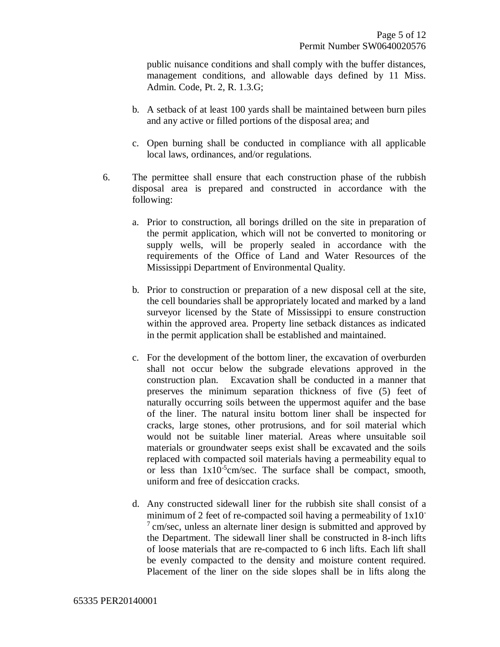public nuisance conditions and shall comply with the buffer distances, management conditions, and allowable days defined by 11 Miss. Admin. Code, Pt. 2, R. 1.3.G;

- b. A setback of at least 100 yards shall be maintained between burn piles and any active or filled portions of the disposal area; and
- c. Open burning shall be conducted in compliance with all applicable local laws, ordinances, and/or regulations.
- 6. The permittee shall ensure that each construction phase of the rubbish disposal area is prepared and constructed in accordance with the following:
	- a. Prior to construction, all borings drilled on the site in preparation of the permit application, which will not be converted to monitoring or supply wells, will be properly sealed in accordance with the requirements of the Office of Land and Water Resources of the Mississippi Department of Environmental Quality.
	- b. Prior to construction or preparation of a new disposal cell at the site, the cell boundaries shall be appropriately located and marked by a land surveyor licensed by the State of Mississippi to ensure construction within the approved area. Property line setback distances as indicated in the permit application shall be established and maintained.
	- c. For the development of the bottom liner, the excavation of overburden shall not occur below the subgrade elevations approved in the construction plan. Excavation shall be conducted in a manner that preserves the minimum separation thickness of five (5) feet of naturally occurring soils between the uppermost aquifer and the base of the liner. The natural insitu bottom liner shall be inspected for cracks, large stones, other protrusions, and for soil material which would not be suitable liner material. Areas where unsuitable soil materials or groundwater seeps exist shall be excavated and the soils replaced with compacted soil materials having a permeability equal to or less than  $1x10^{-5}$ cm/sec. The surface shall be compact, smooth, uniform and free of desiccation cracks.
	- d. Any constructed sidewall liner for the rubbish site shall consist of a minimum of 2 feet of re-compacted soil having a permeability of  $1x10^ 7 \text{ cm/sec}$ , unless an alternate liner design is submitted and approved by the Department. The sidewall liner shall be constructed in 8-inch lifts of loose materials that are re-compacted to 6 inch lifts. Each lift shall be evenly compacted to the density and moisture content required. Placement of the liner on the side slopes shall be in lifts along the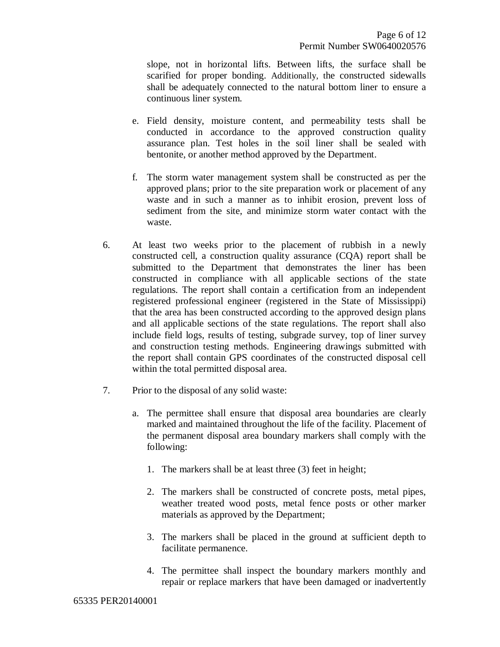slope, not in horizontal lifts. Between lifts, the surface shall be scarified for proper bonding. Additionally, the constructed sidewalls shall be adequately connected to the natural bottom liner to ensure a continuous liner system.

- e. Field density, moisture content, and permeability tests shall be conducted in accordance to the approved construction quality assurance plan. Test holes in the soil liner shall be sealed with bentonite, or another method approved by the Department.
- f. The storm water management system shall be constructed as per the approved plans; prior to the site preparation work or placement of any waste and in such a manner as to inhibit erosion, prevent loss of sediment from the site, and minimize storm water contact with the waste.
- 6. At least two weeks prior to the placement of rubbish in a newly constructed cell, a construction quality assurance (CQA) report shall be submitted to the Department that demonstrates the liner has been constructed in compliance with all applicable sections of the state regulations. The report shall contain a certification from an independent registered professional engineer (registered in the State of Mississippi) that the area has been constructed according to the approved design plans and all applicable sections of the state regulations. The report shall also include field logs, results of testing, subgrade survey, top of liner survey and construction testing methods. Engineering drawings submitted with the report shall contain GPS coordinates of the constructed disposal cell within the total permitted disposal area.
- 7. Prior to the disposal of any solid waste:
	- a. The permittee shall ensure that disposal area boundaries are clearly marked and maintained throughout the life of the facility. Placement of the permanent disposal area boundary markers shall comply with the following:
		- 1. The markers shall be at least three (3) feet in height;
		- 2. The markers shall be constructed of concrete posts, metal pipes, weather treated wood posts, metal fence posts or other marker materials as approved by the Department;
		- 3. The markers shall be placed in the ground at sufficient depth to facilitate permanence.
		- 4. The permittee shall inspect the boundary markers monthly and repair or replace markers that have been damaged or inadvertently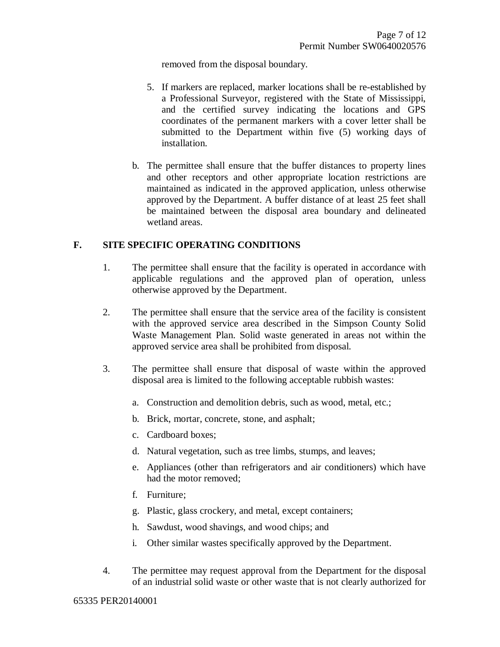removed from the disposal boundary.

- 5. If markers are replaced, marker locations shall be re-established by a Professional Surveyor, registered with the State of Mississippi, and the certified survey indicating the locations and GPS coordinates of the permanent markers with a cover letter shall be submitted to the Department within five (5) working days of installation.
- b. The permittee shall ensure that the buffer distances to property lines and other receptors and other appropriate location restrictions are maintained as indicated in the approved application, unless otherwise approved by the Department. A buffer distance of at least 25 feet shall be maintained between the disposal area boundary and delineated wetland areas.

#### **F. SITE SPECIFIC OPERATING CONDITIONS**

- 1. The permittee shall ensure that the facility is operated in accordance with applicable regulations and the approved plan of operation, unless otherwise approved by the Department.
- 2. The permittee shall ensure that the service area of the facility is consistent with the approved service area described in the Simpson County Solid Waste Management Plan. Solid waste generated in areas not within the approved service area shall be prohibited from disposal.
- 3. The permittee shall ensure that disposal of waste within the approved disposal area is limited to the following acceptable rubbish wastes:
	- a. Construction and demolition debris, such as wood, metal, etc.;
	- b. Brick, mortar, concrete, stone, and asphalt;
	- c. Cardboard boxes;
	- d. Natural vegetation, such as tree limbs, stumps, and leaves;
	- e. Appliances (other than refrigerators and air conditioners) which have had the motor removed;
	- f. Furniture;
	- g. Plastic, glass crockery, and metal, except containers;
	- h. Sawdust, wood shavings, and wood chips; and
	- i. Other similar wastes specifically approved by the Department.
- 4. The permittee may request approval from the Department for the disposal of an industrial solid waste or other waste that is not clearly authorized for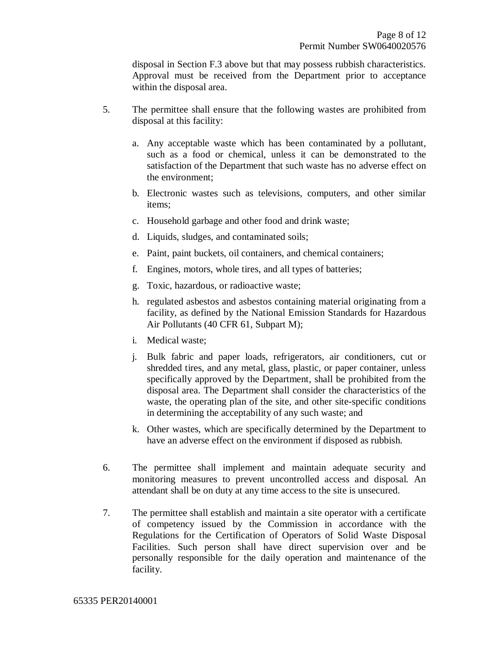disposal in Section F.3 above but that may possess rubbish characteristics. Approval must be received from the Department prior to acceptance within the disposal area.

- 5. The permittee shall ensure that the following wastes are prohibited from disposal at this facility:
	- a. Any acceptable waste which has been contaminated by a pollutant, such as a food or chemical, unless it can be demonstrated to the satisfaction of the Department that such waste has no adverse effect on the environment;
	- b. Electronic wastes such as televisions, computers, and other similar items;
	- c. Household garbage and other food and drink waste;
	- d. Liquids, sludges, and contaminated soils;
	- e. Paint, paint buckets, oil containers, and chemical containers;
	- f. Engines, motors, whole tires, and all types of batteries;
	- g. Toxic, hazardous, or radioactive waste;
	- h. regulated asbestos and asbestos containing material originating from a facility, as defined by the National Emission Standards for Hazardous Air Pollutants (40 CFR 61, Subpart M);
	- i. Medical waste;
	- j. Bulk fabric and paper loads, refrigerators, air conditioners, cut or shredded tires, and any metal, glass, plastic, or paper container, unless specifically approved by the Department, shall be prohibited from the disposal area. The Department shall consider the characteristics of the waste, the operating plan of the site, and other site-specific conditions in determining the acceptability of any such waste; and
	- k. Other wastes, which are specifically determined by the Department to have an adverse effect on the environment if disposed as rubbish.
- 6. The permittee shall implement and maintain adequate security and monitoring measures to prevent uncontrolled access and disposal. An attendant shall be on duty at any time access to the site is unsecured.
- 7. The permittee shall establish and maintain a site operator with a certificate of competency issued by the Commission in accordance with the Regulations for the Certification of Operators of Solid Waste Disposal Facilities. Such person shall have direct supervision over and be personally responsible for the daily operation and maintenance of the facility.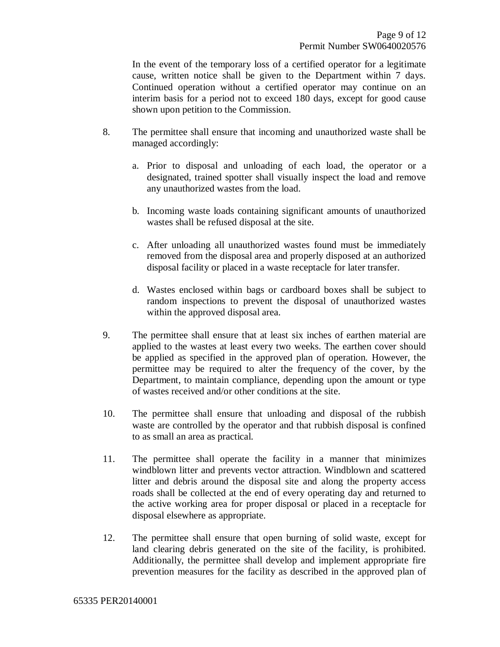In the event of the temporary loss of a certified operator for a legitimate cause, written notice shall be given to the Department within 7 days. Continued operation without a certified operator may continue on an interim basis for a period not to exceed 180 days, except for good cause shown upon petition to the Commission.

- 8. The permittee shall ensure that incoming and unauthorized waste shall be managed accordingly:
	- a. Prior to disposal and unloading of each load, the operator or a designated, trained spotter shall visually inspect the load and remove any unauthorized wastes from the load.
	- b. Incoming waste loads containing significant amounts of unauthorized wastes shall be refused disposal at the site.
	- c. After unloading all unauthorized wastes found must be immediately removed from the disposal area and properly disposed at an authorized disposal facility or placed in a waste receptacle for later transfer.
	- d. Wastes enclosed within bags or cardboard boxes shall be subject to random inspections to prevent the disposal of unauthorized wastes within the approved disposal area.
- 9. The permittee shall ensure that at least six inches of earthen material are applied to the wastes at least every two weeks. The earthen cover should be applied as specified in the approved plan of operation. However, the permittee may be required to alter the frequency of the cover, by the Department, to maintain compliance, depending upon the amount or type of wastes received and/or other conditions at the site.
- 10. The permittee shall ensure that unloading and disposal of the rubbish waste are controlled by the operator and that rubbish disposal is confined to as small an area as practical.
- 11. The permittee shall operate the facility in a manner that minimizes windblown litter and prevents vector attraction. Windblown and scattered litter and debris around the disposal site and along the property access roads shall be collected at the end of every operating day and returned to the active working area for proper disposal or placed in a receptacle for disposal elsewhere as appropriate.
- 12. The permittee shall ensure that open burning of solid waste, except for land clearing debris generated on the site of the facility, is prohibited. Additionally, the permittee shall develop and implement appropriate fire prevention measures for the facility as described in the approved plan of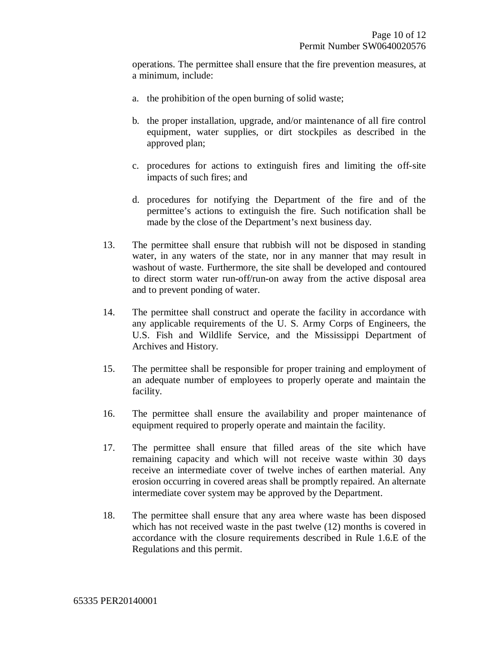operations. The permittee shall ensure that the fire prevention measures, at a minimum, include:

- a. the prohibition of the open burning of solid waste;
- b. the proper installation, upgrade, and/or maintenance of all fire control equipment, water supplies, or dirt stockpiles as described in the approved plan;
- c. procedures for actions to extinguish fires and limiting the off-site impacts of such fires; and
- d. procedures for notifying the Department of the fire and of the permittee's actions to extinguish the fire. Such notification shall be made by the close of the Department's next business day.
- 13. The permittee shall ensure that rubbish will not be disposed in standing water, in any waters of the state, nor in any manner that may result in washout of waste. Furthermore, the site shall be developed and contoured to direct storm water run-off/run-on away from the active disposal area and to prevent ponding of water.
- 14. The permittee shall construct and operate the facility in accordance with any applicable requirements of the U. S. Army Corps of Engineers, the U.S. Fish and Wildlife Service, and the Mississippi Department of Archives and History.
- 15. The permittee shall be responsible for proper training and employment of an adequate number of employees to properly operate and maintain the facility.
- 16. The permittee shall ensure the availability and proper maintenance of equipment required to properly operate and maintain the facility.
- 17. The permittee shall ensure that filled areas of the site which have remaining capacity and which will not receive waste within 30 days receive an intermediate cover of twelve inches of earthen material. Any erosion occurring in covered areas shall be promptly repaired. An alternate intermediate cover system may be approved by the Department.
- 18. The permittee shall ensure that any area where waste has been disposed which has not received waste in the past twelve (12) months is covered in accordance with the closure requirements described in Rule 1.6.E of the Regulations and this permit.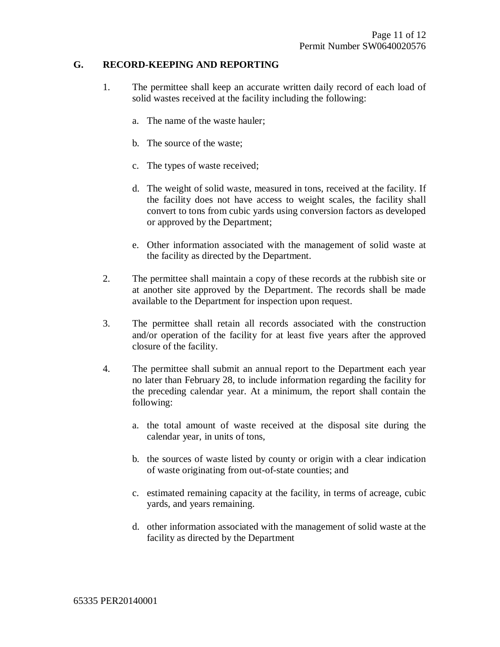#### **G. RECORD-KEEPING AND REPORTING**

- 1. The permittee shall keep an accurate written daily record of each load of solid wastes received at the facility including the following:
	- a. The name of the waste hauler;
	- b. The source of the waste;
	- c. The types of waste received;
	- d. The weight of solid waste, measured in tons, received at the facility. If the facility does not have access to weight scales, the facility shall convert to tons from cubic yards using conversion factors as developed or approved by the Department;
	- e. Other information associated with the management of solid waste at the facility as directed by the Department.
- 2. The permittee shall maintain a copy of these records at the rubbish site or at another site approved by the Department. The records shall be made available to the Department for inspection upon request.
- 3. The permittee shall retain all records associated with the construction and/or operation of the facility for at least five years after the approved closure of the facility.
- 4. The permittee shall submit an annual report to the Department each year no later than February 28, to include information regarding the facility for the preceding calendar year. At a minimum, the report shall contain the following:
	- a. the total amount of waste received at the disposal site during the calendar year, in units of tons,
	- b. the sources of waste listed by county or origin with a clear indication of waste originating from out-of-state counties; and
	- c. estimated remaining capacity at the facility, in terms of acreage, cubic yards, and years remaining.
	- d. other information associated with the management of solid waste at the facility as directed by the Department